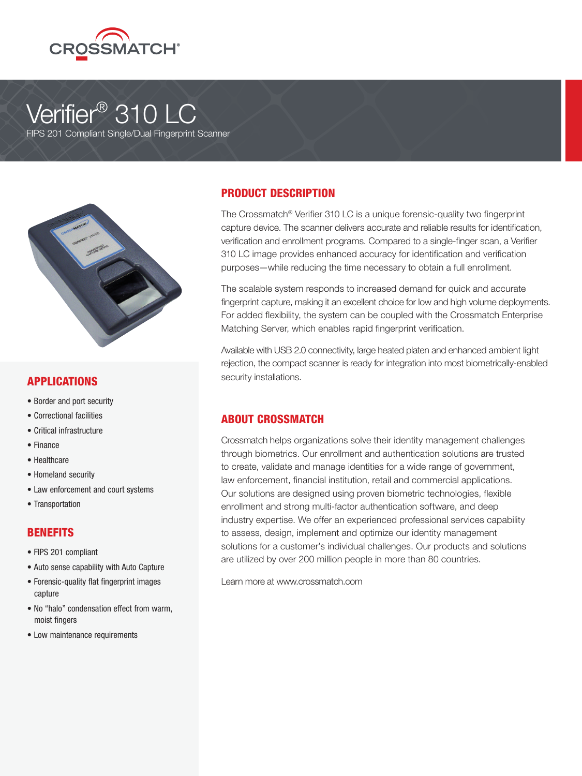

# Verifier<sup>®</sup> 310 LC

FIPS 201 Compliant Single/Dual Fingerprint Scanner



# APPLICATIONS

- Border and port security
- Correctional facilities
- Critical infrastructure
- Finance
- Healthcare
- Homeland security
- Law enforcement and court systems
- Transportation

#### **BENEFITS**

- FIPS 201 compliant
- Auto sense capability with Auto Capture
- Forensic-quality flat fingerprint images capture
- No "halo" condensation effect from warm, moist fingers
- Low maintenance requirements

# PRODUCT DESCRIPTION

The Crossmatch® Verifier 310 LC is a unique forensic-quality two fingerprint capture device. The scanner delivers accurate and reliable results for identification, verification and enrollment programs. Compared to a single-finger scan, a Verifier 310 LC image provides enhanced accuracy for identification and verification purposes—while reducing the time necessary to obtain a full enrollment.

The scalable system responds to increased demand for quick and accurate fingerprint capture, making it an excellent choice for low and high volume deployments. For added flexibility, the system can be coupled with the Crossmatch Enterprise Matching Server, which enables rapid fingerprint verification.

Available with USB 2.0 connectivity, large heated platen and enhanced ambient light rejection, the compact scanner is ready for integration into most biometrically-enabled security installations.

# ABOUT CROSSMATCH

Crossmatch helps organizations solve their identity management challenges through biometrics. Our enrollment and authentication solutions are trusted to create, validate and manage identities for a wide range of government, law enforcement, financial institution, retail and commercial applications. Our solutions are designed using proven biometric technologies, flexible enrollment and strong multi-factor authentication software, and deep industry expertise. We offer an experienced professional services capability to assess, design, implement and optimize our identity management solutions for a customer's individual challenges. Our products and solutions are utilized by over 200 million people in more than 80 countries.

Learn more at www.crossmatch.com